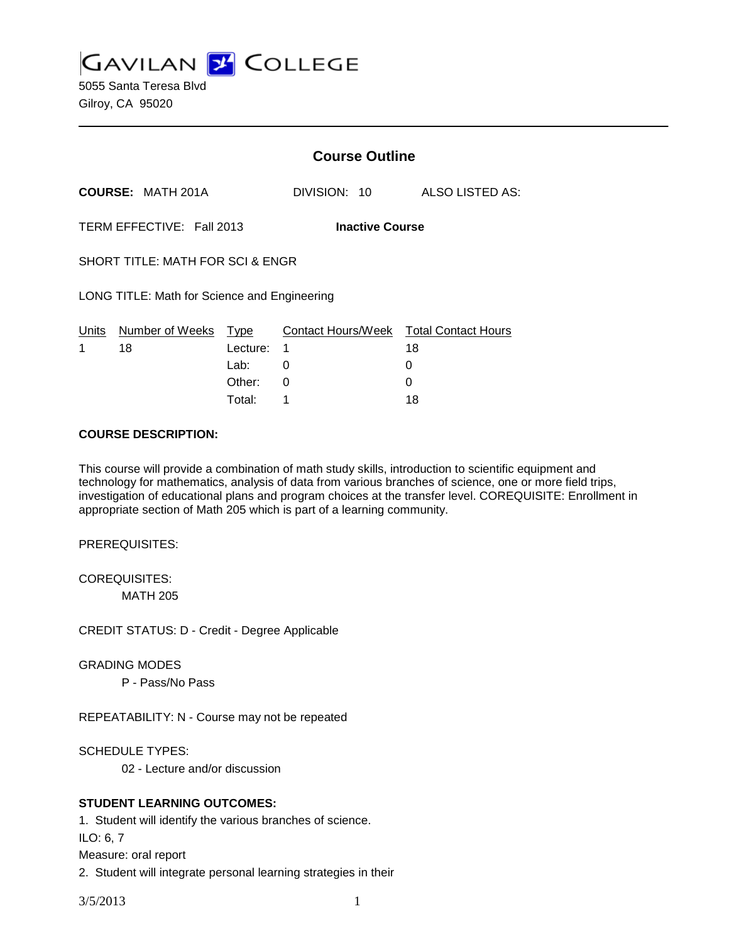**GAVILAN 2 COLLEGE** 

5055 Santa Teresa Blvd Gilroy, CA 95020

|                                                     |                            |          |              | <b>Course Outline</b> |                                              |  |
|-----------------------------------------------------|----------------------------|----------|--------------|-----------------------|----------------------------------------------|--|
|                                                     | <b>COURSE: MATH 201A</b>   |          | DIVISION: 10 |                       | ALSO LISTED AS:                              |  |
| TERM EFFECTIVE: Fall 2013<br><b>Inactive Course</b> |                            |          |              |                       |                                              |  |
| <b>SHORT TITLE: MATH FOR SCI &amp; ENGR</b>         |                            |          |              |                       |                                              |  |
| LONG TITLE: Math for Science and Engineering        |                            |          |              |                       |                                              |  |
| Units<br>1                                          | Number of Weeks Type<br>18 | Lecture: | 1            |                       | Contact Hours/Week Total Contact Hours<br>18 |  |
|                                                     |                            | Lab:     | 0            |                       | 0                                            |  |
|                                                     |                            | Other:   | 0            |                       | 0                                            |  |

Total: 1 18

### **COURSE DESCRIPTION:**

This course will provide a combination of math study skills, introduction to scientific equipment and technology for mathematics, analysis of data from various branches of science, one or more field trips, investigation of educational plans and program choices at the transfer level. COREQUISITE: Enrollment in appropriate section of Math 205 which is part of a learning community.

PREREQUISITES:

COREQUISITES: MATH 205

CREDIT STATUS: D - Credit - Degree Applicable

GRADING MODES

P - Pass/No Pass

REPEATABILITY: N - Course may not be repeated

SCHEDULE TYPES:

02 - Lecture and/or discussion

## **STUDENT LEARNING OUTCOMES:**

1. Student will identify the various branches of science.

ILO: 6, 7

Measure: oral report

2. Student will integrate personal learning strategies in their

3/5/2013 1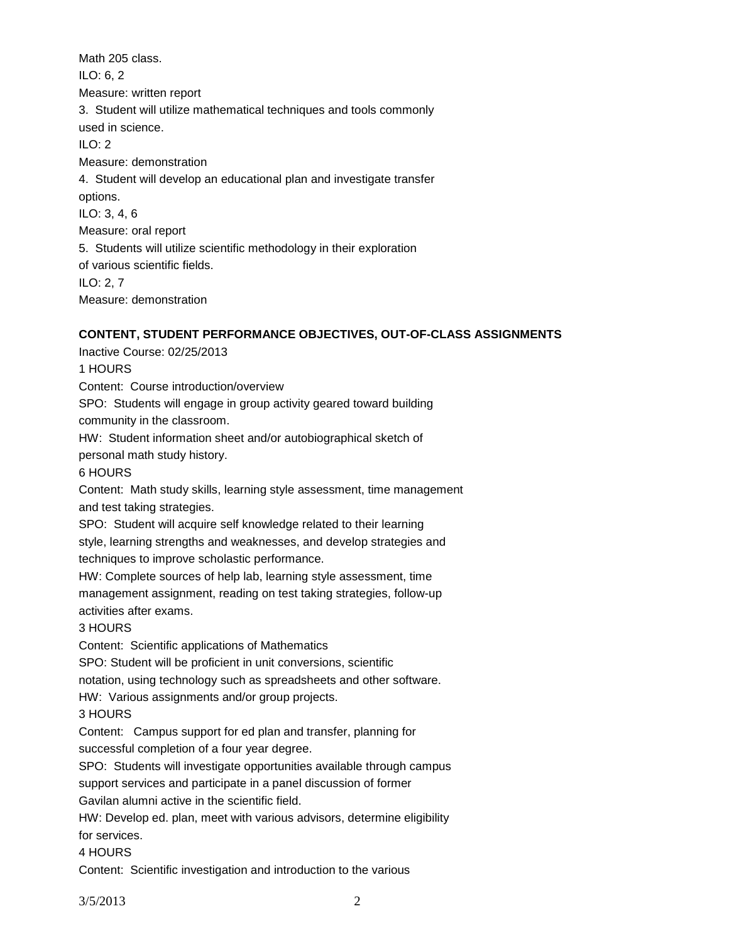Math 205 class. ILO: 6, 2 Measure: written report 3. Student will utilize mathematical techniques and tools commonly used in science. ILO: 2 Measure: demonstration 4. Student will develop an educational plan and investigate transfer options. ILO: 3, 4, 6 Measure: oral report 5. Students will utilize scientific methodology in their exploration of various scientific fields. ILO: 2, 7 Measure: demonstration

# **CONTENT, STUDENT PERFORMANCE OBJECTIVES, OUT-OF-CLASS ASSIGNMENTS**

Inactive Course: 02/25/2013

1 HOURS

Content: Course introduction/overview

SPO: Students will engage in group activity geared toward building community in the classroom.

HW: Student information sheet and/or autobiographical sketch of

personal math study history.

6 HOURS

Content: Math study skills, learning style assessment, time management and test taking strategies.

SPO: Student will acquire self knowledge related to their learning style, learning strengths and weaknesses, and develop strategies and techniques to improve scholastic performance.

HW: Complete sources of help lab, learning style assessment, time management assignment, reading on test taking strategies, follow-up activities after exams.

3 HOURS

Content: Scientific applications of Mathematics

SPO: Student will be proficient in unit conversions, scientific

notation, using technology such as spreadsheets and other software.

HW: Various assignments and/or group projects.

3 HOURS

Content: Campus support for ed plan and transfer, planning for successful completion of a four year degree.

SPO: Students will investigate opportunities available through campus support services and participate in a panel discussion of former Gavilan alumni active in the scientific field.

HW: Develop ed. plan, meet with various advisors, determine eligibility for services.

4 HOURS

Content: Scientific investigation and introduction to the various

3/5/2013 2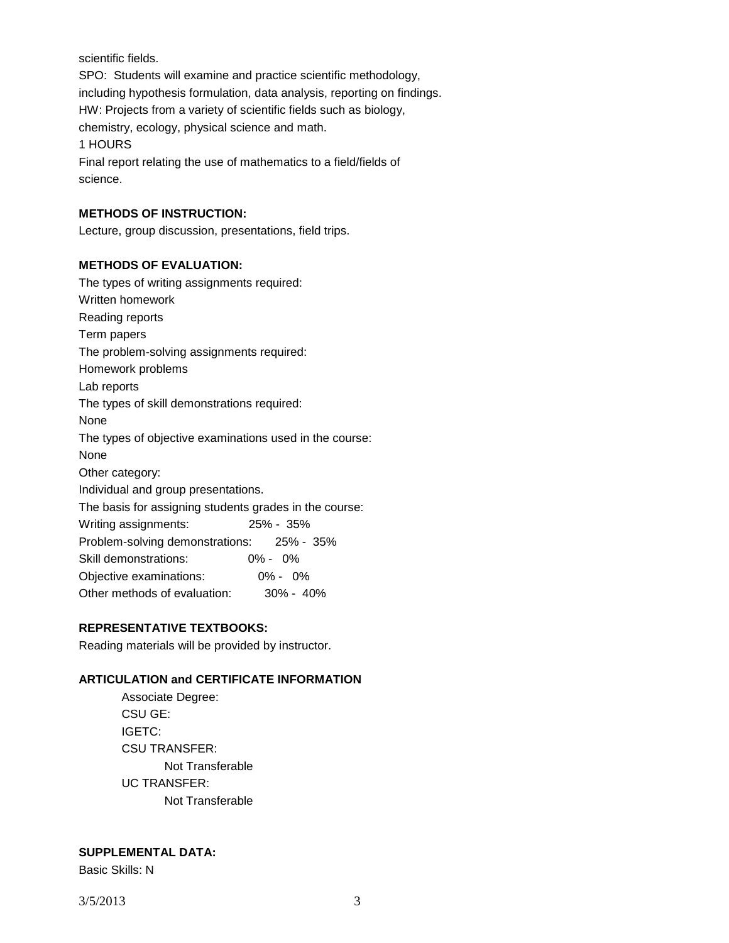scientific fields.

SPO: Students will examine and practice scientific methodology, including hypothesis formulation, data analysis, reporting on findings. HW: Projects from a variety of scientific fields such as biology, chemistry, ecology, physical science and math. 1 HOURS Final report relating the use of mathematics to a field/fields of

science.

#### **METHODS OF INSTRUCTION:**

Lecture, group discussion, presentations, field trips.

#### **METHODS OF EVALUATION:**

The types of writing assignments required: Written homework Reading reports Term papers The problem-solving assignments required: Homework problems Lab reports The types of skill demonstrations required: None The types of objective examinations used in the course: None Other category: Individual and group presentations. The basis for assigning students grades in the course: Writing assignments: 25% - 35% Problem-solving demonstrations: 25% - 35% Skill demonstrations: 0% - 0% Objective examinations: 0% - 0% Other methods of evaluation: 30% - 40%

### **REPRESENTATIVE TEXTBOOKS:**

Reading materials will be provided by instructor.

#### **ARTICULATION and CERTIFICATE INFORMATION**

Associate Degree: CSU GE: IGETC: CSU TRANSFER: Not Transferable UC TRANSFER: Not Transferable

#### **SUPPLEMENTAL DATA:**

Basic Skills: N